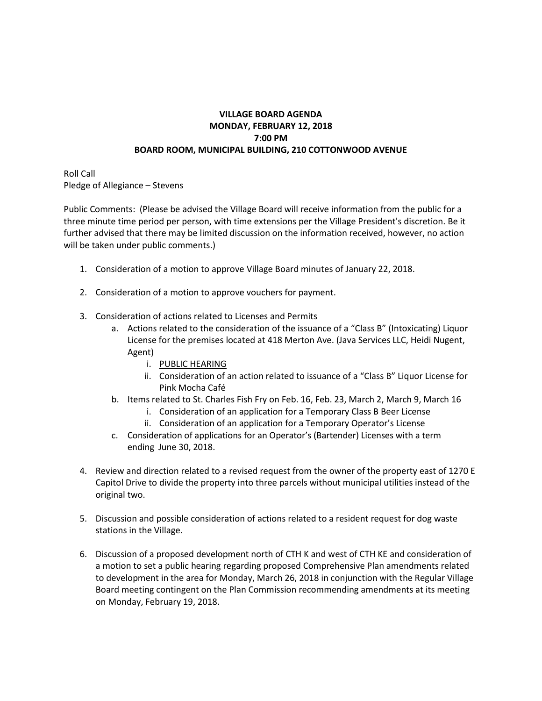## **VILLAGE BOARD AGENDA MONDAY, FEBRUARY 12, 2018 7:00 PM BOARD ROOM, MUNICIPAL BUILDING, 210 COTTONWOOD AVENUE**

Roll Call Pledge of Allegiance – Stevens

Public Comments: (Please be advised the Village Board will receive information from the public for a three minute time period per person, with time extensions per the Village President's discretion. Be it further advised that there may be limited discussion on the information received, however, no action will be taken under public comments.)

- 1. Consideration of a motion to approve Village Board minutes of January 22, 2018.
- 2. Consideration of a motion to approve vouchers for payment.
- 3. Consideration of actions related to Licenses and Permits
	- a. Actions related to the consideration of the issuance of a "Class B" (Intoxicating) Liquor License for the premises located at 418 Merton Ave. (Java Services LLC, Heidi Nugent, Agent)
		- i. PUBLIC HEARING
		- ii. Consideration of an action related to issuance of a "Class B" Liquor License for Pink Mocha Café
	- b. Items related to St. Charles Fish Fry on Feb. 16, Feb. 23, March 2, March 9, March 16
		- i. Consideration of an application for a Temporary Class B Beer License
		- ii. Consideration of an application for a Temporary Operator's License
	- c. Consideration of applications for an Operator's (Bartender) Licenses with a term ending June 30, 2018.
- 4. Review and direction related to a revised request from the owner of the property east of 1270 E Capitol Drive to divide the property into three parcels without municipal utilities instead of the original two.
- 5. Discussion and possible consideration of actions related to a resident request for dog waste stations in the Village.
- 6. Discussion of a proposed development north of CTH K and west of CTH KE and consideration of a motion to set a public hearing regarding proposed Comprehensive Plan amendments related to development in the area for Monday, March 26, 2018 in conjunction with the Regular Village Board meeting contingent on the Plan Commission recommending amendments at its meeting on Monday, February 19, 2018.